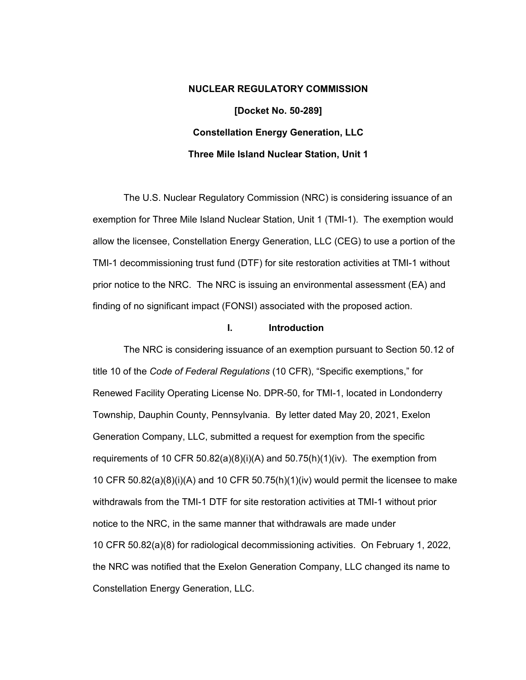# **NUCLEAR REGULATORY COMMISSION [Docket No. 50-289] Constellation Energy Generation, LLC Three Mile Island Nuclear Station, Unit 1**

The U.S. Nuclear Regulatory Commission (NRC) is considering issuance of an exemption for Three Mile Island Nuclear Station, Unit 1 (TMI-1). The exemption would allow the licensee, Constellation Energy Generation, LLC (CEG) to use a portion of the TMI-1 decommissioning trust fund (DTF) for site restoration activities at TMI-1 without prior notice to the NRC. The NRC is issuing an environmental assessment (EA) and finding of no significant impact (FONSI) associated with the proposed action.

# **I. Introduction**

The NRC is considering issuance of an exemption pursuant to Section 50.12 of title 10 of the *Code of Federal Regulations* (10 CFR), "Specific exemptions," for Renewed Facility Operating License No. DPR-50, for TMI-1, located in Londonderry Township, Dauphin County, Pennsylvania. By letter dated May 20, 2021, Exelon Generation Company, LLC, submitted a request for exemption from the specific requirements of 10 CFR 50.82(a)(8)(i)(A) and 50.75(h)(1)(iv). The exemption from 10 CFR  $50.82(a)(8)(i)(A)$  and 10 CFR  $50.75(h)(1)(iv)$  would permit the licensee to make withdrawals from the TMI-1 DTF for site restoration activities at TMI-1 without prior notice to the NRC, in the same manner that withdrawals are made under 10 CFR 50.82(a)(8) for radiological decommissioning activities. On February 1, 2022, the NRC was notified that the Exelon Generation Company, LLC changed its name to Constellation Energy Generation, LLC.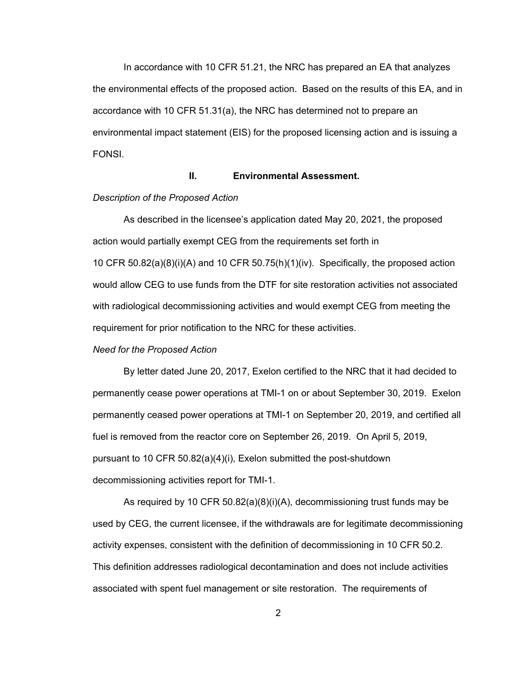In accordance with 10 CFR 51.21, the NRC has prepared an EA that analyzes the environmental effects of the proposed action. Based on the results of this EA, and in accordance with 10 CFR 51.31(a), the NRC has determined not to prepare an environmental impact statement (EIS) for the proposed licensing action and is issuing a FONSI.

# **II. Environmental Assessment.**

# *Description of the Proposed Action*

As described in the licensee's application dated May 20, 2021, the proposed action would partially exempt CEG from the requirements set forth in 10 CFR 50.82(a)(8)(i)(A) and 10 CFR 50.75(h)(1)(iv). Specifically, the proposed action would allow CEG to use funds from the DTF for site restoration activities not associated with radiological decommissioning activities and would exempt CEG from meeting the requirement for prior notification to the NRC for these activities.

### *Need for the Proposed Action*

By letter dated June 20, 2017, Exelon certified to the NRC that it had decided to permanently cease power operations at TMI-1 on or about September 30, 2019. Exelon permanently ceased power operations at TMI-1 on September 20, 2019, and certified all fuel is removed from the reactor core on September 26, 2019. On April 5, 2019, pursuant to 10 CFR 50.82(a)(4)(i), Exelon submitted the post-shutdown decommissioning activities report for TMI-1.

As required by 10 CFR 50.82(a)(8)(i)(A), decommissioning trust funds may be used by CEG, the current licensee, if the withdrawals are for legitimate decommissioning activity expenses, consistent with the definition of decommissioning in 10 CFR 50.2. This definition addresses radiological decontamination and does not include activities associated with spent fuel management or site restoration. The requirements of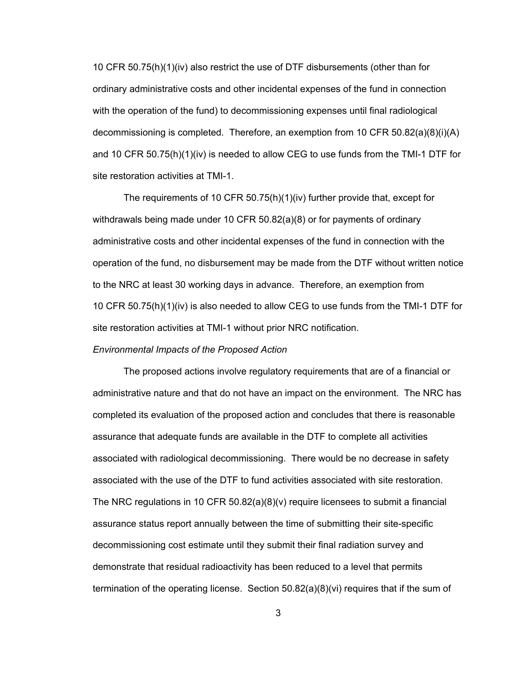10 CFR 50.75(h)(1)(iv) also restrict the use of DTF disbursements (other than for ordinary administrative costs and other incidental expenses of the fund in connection with the operation of the fund) to decommissioning expenses until final radiological decommissioning is completed. Therefore, an exemption from 10 CFR 50.82(a)(8)(i)(A) and 10 CFR 50.75(h)(1)(iv) is needed to allow CEG to use funds from the TMI-1 DTF for site restoration activities at TMI-1.

The requirements of 10 CFR 50.75(h)(1)(iv) further provide that, except for withdrawals being made under 10 CFR 50.82(a)(8) or for payments of ordinary administrative costs and other incidental expenses of the fund in connection with the operation of the fund, no disbursement may be made from the DTF without written notice to the NRC at least 30 working days in advance. Therefore, an exemption from 10 CFR 50.75(h)(1)(iv) is also needed to allow CEG to use funds from the TMI-1 DTF for site restoration activities at TMI-1 without prior NRC notification.

### *Environmental Impacts of the Proposed Action*

The proposed actions involve regulatory requirements that are of a financial or administrative nature and that do not have an impact on the environment. The NRC has completed its evaluation of the proposed action and concludes that there is reasonable assurance that adequate funds are available in the DTF to complete all activities associated with radiological decommissioning. There would be no decrease in safety associated with the use of the DTF to fund activities associated with site restoration. The NRC regulations in 10 CFR 50.82(a)(8)(v) require licensees to submit a financial assurance status report annually between the time of submitting their site-specific decommissioning cost estimate until they submit their final radiation survey and demonstrate that residual radioactivity has been reduced to a level that permits termination of the operating license. Section 50.82(a)(8)(vi) requires that if the sum of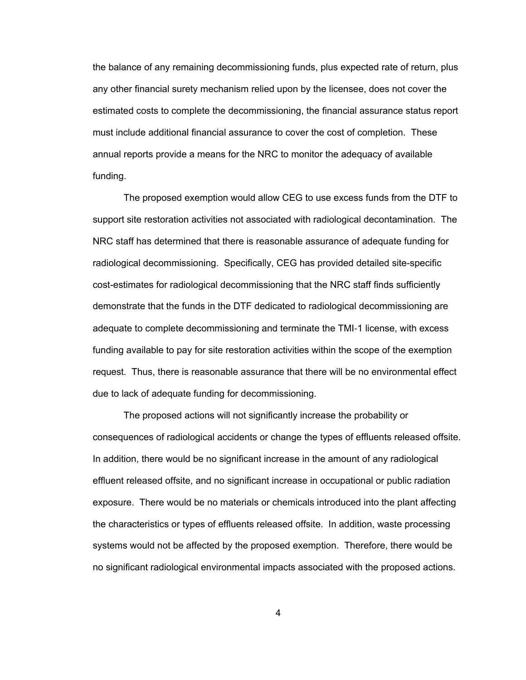the balance of any remaining decommissioning funds, plus expected rate of return, plus any other financial surety mechanism relied upon by the licensee, does not cover the estimated costs to complete the decommissioning, the financial assurance status report must include additional financial assurance to cover the cost of completion. These annual reports provide a means for the NRC to monitor the adequacy of available funding.

The proposed exemption would allow CEG to use excess funds from the DTF to support site restoration activities not associated with radiological decontamination. The NRC staff has determined that there is reasonable assurance of adequate funding for radiological decommissioning. Specifically, CEG has provided detailed site-specific cost-estimates for radiological decommissioning that the NRC staff finds sufficiently demonstrate that the funds in the DTF dedicated to radiological decommissioning are adequate to complete decommissioning and terminate the TMI‑1 license, with excess funding available to pay for site restoration activities within the scope of the exemption request. Thus, there is reasonable assurance that there will be no environmental effect due to lack of adequate funding for decommissioning.

The proposed actions will not significantly increase the probability or consequences of radiological accidents or change the types of effluents released offsite. In addition, there would be no significant increase in the amount of any radiological effluent released offsite, and no significant increase in occupational or public radiation exposure. There would be no materials or chemicals introduced into the plant affecting the characteristics or types of effluents released offsite. In addition, waste processing systems would not be affected by the proposed exemption. Therefore, there would be no significant radiological environmental impacts associated with the proposed actions.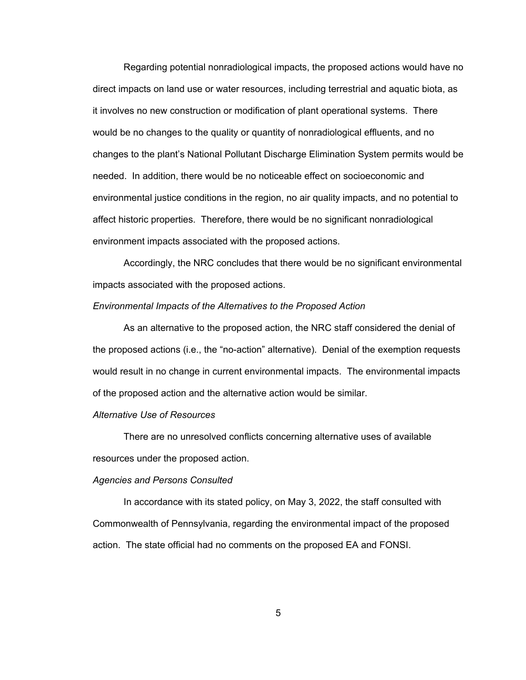Regarding potential nonradiological impacts, the proposed actions would have no direct impacts on land use or water resources, including terrestrial and aquatic biota, as it involves no new construction or modification of plant operational systems. There would be no changes to the quality or quantity of nonradiological effluents, and no changes to the plant's National Pollutant Discharge Elimination System permits would be needed. In addition, there would be no noticeable effect on socioeconomic and environmental justice conditions in the region, no air quality impacts, and no potential to affect historic properties. Therefore, there would be no significant nonradiological environment impacts associated with the proposed actions.

Accordingly, the NRC concludes that there would be no significant environmental impacts associated with the proposed actions.

### *Environmental Impacts of the Alternatives to the Proposed Action*

As an alternative to the proposed action, the NRC staff considered the denial of the proposed actions (i.e., the "no-action" alternative). Denial of the exemption requests would result in no change in current environmental impacts. The environmental impacts of the proposed action and the alternative action would be similar.

#### *Alternative Use of Resources*

There are no unresolved conflicts concerning alternative uses of available resources under the proposed action.

#### *Agencies and Persons Consulted*

In accordance with its stated policy, on May 3, 2022, the staff consulted with Commonwealth of Pennsylvania, regarding the environmental impact of the proposed action. The state official had no comments on the proposed EA and FONSI.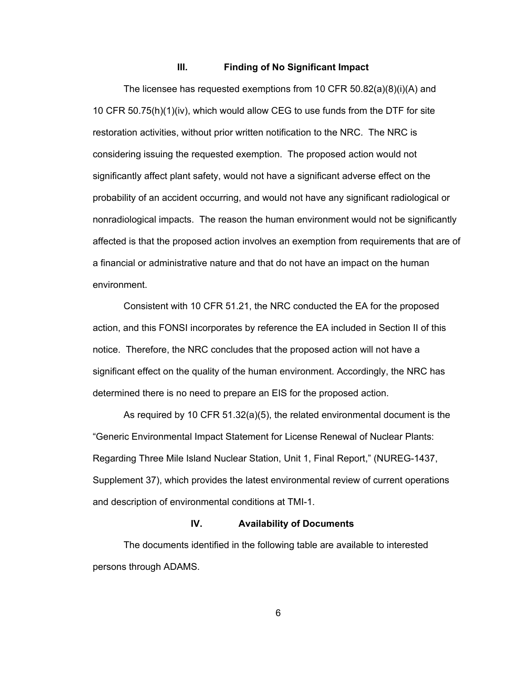# **III. Finding of No Significant Impact**

The licensee has requested exemptions from 10 CFR 50.82(a)(8)(i)(A) and 10 CFR 50.75(h)(1)(iv), which would allow CEG to use funds from the DTF for site restoration activities, without prior written notification to the NRC. The NRC is considering issuing the requested exemption. The proposed action would not significantly affect plant safety, would not have a significant adverse effect on the probability of an accident occurring, and would not have any significant radiological or nonradiological impacts. The reason the human environment would not be significantly affected is that the proposed action involves an exemption from requirements that are of a financial or administrative nature and that do not have an impact on the human environment.

Consistent with 10 CFR 51.21, the NRC conducted the EA for the proposed action, and this FONSI incorporates by reference the EA included in Section II of this notice. Therefore, the NRC concludes that the proposed action will not have a significant effect on the quality of the human environment. Accordingly, the NRC has determined there is no need to prepare an EIS for the proposed action.

As required by 10 CFR 51.32(a)(5), the related environmental document is the "Generic Environmental Impact Statement for License Renewal of Nuclear Plants: Regarding Three Mile Island Nuclear Station, Unit 1, Final Report," (NUREG-1437, Supplement 37), which provides the latest environmental review of current operations and description of environmental conditions at TMI-1.

## **IV. Availability of Documents**

The documents identified in the following table are available to interested persons through ADAMS.